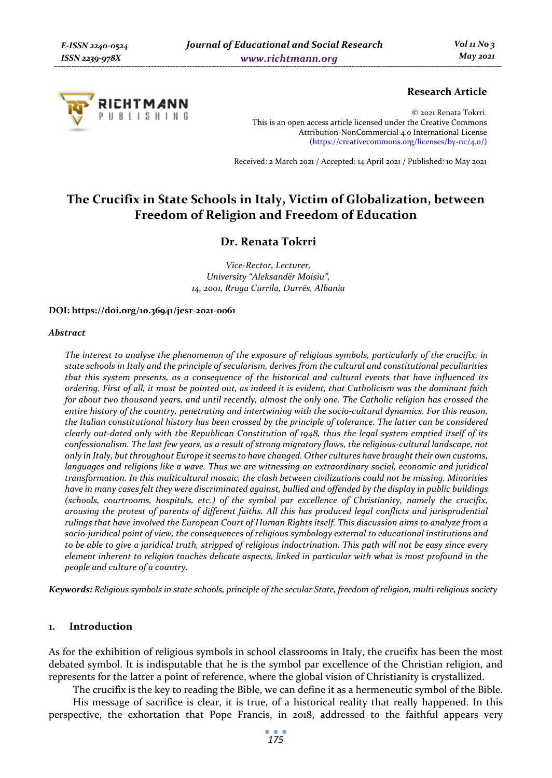

# **Research Article**

© 2021 Renata Tokrri. This is an open access article licensed under the Creative Commons Attribution-NonCommercial 4.0 International License (https://creativecommons.org/licenses/by-nc/4.0/)

Received: 2 March 2021 / Accepted: 14 April 2021 / Published: 10 May 2021

# **The Crucifix in State Schools in Italy, Victim of Globalization, between Freedom of Religion and Freedom of Education**

# **Dr. Renata Tokrri**

*Vice-Rector, Lecturer, University "Aleksandër Moisiu", 14, 2001, Rruga Currila, Durrës, Albania* 

**DOI: https://doi.org/10.36941/jesr-2021-0061** 

#### *Abstract*

*The interest to analyse the phenomenon of the exposure of religious symbols, particularly of the crucifix, in state schools in Italy and the principle of secularism, derives from the cultural and constitutional peculiarities that this system presents, as a consequence of the historical and cultural events that have influenced its ordering. First of all, it must be pointed out, as indeed it is evident, that Catholicism was the dominant faith for about two thousand years, and until recently, almost the only one. The Catholic religion has crossed the entire history of the country, penetrating and intertwining with the socio-cultural dynamics. For this reason, the Italian constitutional history has been crossed by the principle of tolerance. The latter can be considered clearly out-dated only with the Republican Constitution of 1948, thus the legal system emptied itself of its confessionalism. The last few years, as a result of strong migratory flows, the religious-cultural landscape, not only in Italy, but throughout Europe it seems to have changed. Other cultures have brought their own customs, languages and religions like a wave. Thus we are witnessing an extraordinary social, economic and juridical transformation. In this multicultural mosaic, the clash between civilizations could not be missing. Minorities have in many cases felt they were discriminated against, bullied and offended by the display in public buildings (schools, courtrooms, hospitals, etc.) of the symbol par excellence of Christianity, namely the crucifix, arousing the protest of parents of different faiths. All this has produced legal conflicts and jurisprudential rulings that have involved the European Court of Human Rights itself. This discussion aims to analyze from a socio-juridical point of view, the consequences of religious symbology external to educational institutions and to be able to give a juridical truth, stripped of religious indoctrination. This path will not be easy since every element inherent to religion touches delicate aspects, linked in particular with what is most profound in the people and culture of a country.* 

*Keywords: Religious symbols in state schools, principle of the secular State, freedom of religion, multi-religious society* 

#### **1. Introduction**

As for the exhibition of religious symbols in school classrooms in Italy, the crucifix has been the most debated symbol. It is indisputable that he is the symbol par excellence of the Christian religion, and represents for the latter a point of reference, where the global vision of Christianity is crystallized.

The crucifix is the key to reading the Bible, we can define it as a hermeneutic symbol of the Bible.

His message of sacrifice is clear, it is true, of a historical reality that really happened. In this perspective, the exhortation that Pope Francis, in 2018, addressed to the faithful appears very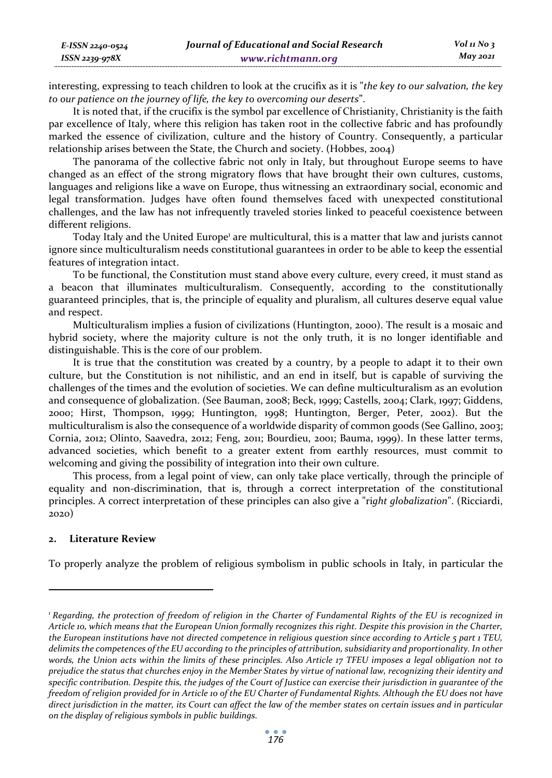| E-ISSN 2240-0524 | Journal of Educational and Social Research | $Vol_1N_0$ 3 |
|------------------|--------------------------------------------|--------------|
| ISSN 2239-978X   | www.richtmann.org                          | $M$ ay 2021  |

interesting, expressing to teach children to look at the crucifix as it is "*the key to our salvation, the key to our patience on the journey of life, the key to overcoming our deserts*".

It is noted that, if the crucifix is the symbol par excellence of Christianity, Christianity is the faith par excellence of Italy, where this religion has taken root in the collective fabric and has profoundly marked the essence of civilization, culture and the history of Country. Consequently, a particular relationship arises between the State, the Church and society. (Hobbes, 2004)

The panorama of the collective fabric not only in Italy, but throughout Europe seems to have changed as an effect of the strong migratory flows that have brought their own cultures, customs, languages and religions like a wave on Europe, thus witnessing an extraordinary social, economic and legal transformation. Judges have often found themselves faced with unexpected constitutional challenges, and the law has not infrequently traveled stories linked to peaceful coexistence between different religions.

Today Italy and the United Europe<sup>1</sup> are multicultural, this is a matter that law and jurists cannot ignore since multiculturalism needs constitutional guarantees in order to be able to keep the essential features of integration intact.

To be functional, the Constitution must stand above every culture, every creed, it must stand as a beacon that illuminates multiculturalism. Consequently, according to the constitutionally guaranteed principles, that is, the principle of equality and pluralism, all cultures deserve equal value and respect.

Multiculturalism implies a fusion of civilizations (Huntington, 2000). The result is a mosaic and hybrid society, where the majority culture is not the only truth, it is no longer identifiable and distinguishable. This is the core of our problem.

It is true that the constitution was created by a country, by a people to adapt it to their own culture, but the Constitution is not nihilistic, and an end in itself, but is capable of surviving the challenges of the times and the evolution of societies. We can define multiculturalism as an evolution and consequence of globalization. (See Bauman, 2008; Beck, 1999; Castells, 2004; Clark, 1997; Giddens, 2000; Hirst, Thompson, 1999; Huntington, 1998; Huntington, Berger, Peter, 2002). But the multiculturalism is also the consequence of a worldwide disparity of common goods (See Gallino, 2003; Cornia, 2012; Olinto, Saavedra, 2012; Feng, 2011; Bourdieu, 2001; Bauma, 1999). In these latter terms, advanced societies, which benefit to a greater extent from earthly resources, must commit to welcoming and giving the possibility of integration into their own culture.

This process, from a legal point of view, can only take place vertically, through the principle of equality and non-discrimination, that is, through a correct interpretation of the constitutional principles. A correct interpretation of these principles can also give a "ri*ght globalization*". (Ricciardi, 2020)

# **2. Literature Review**

To properly analyze the problem of religious symbolism in public schools in Italy, in particular the

*<sup>1</sup> Regarding, the protection of freedom of religion in the Charter of Fundamental Rights of the EU is recognized in Article 10, which means that the European Union formally recognizes this right. Despite this provision in the Charter, the European institutions have not directed competence in religious question since according to Article 5 part 1 TEU, delimits the competences of the EU according to the principles of attribution, subsidiarity and proportionality. In other words, the Union acts within the limits of these principles. Also Article 17 TFEU imposes a legal obligation not to prejudice the status that churches enjoy in the Member States by virtue of national law, recognizing their identity and specific contribution. Despite this, the judges of the Court of Justice can exercise their jurisdiction in guarantee of the freedom of religion provided for in Article 10 of the EU Charter of Fundamental Rights. Although the EU does not have direct jurisdiction in the matter, its Court can affect the law of the member states on certain issues and in particular on the display of religious symbols in public buildings.*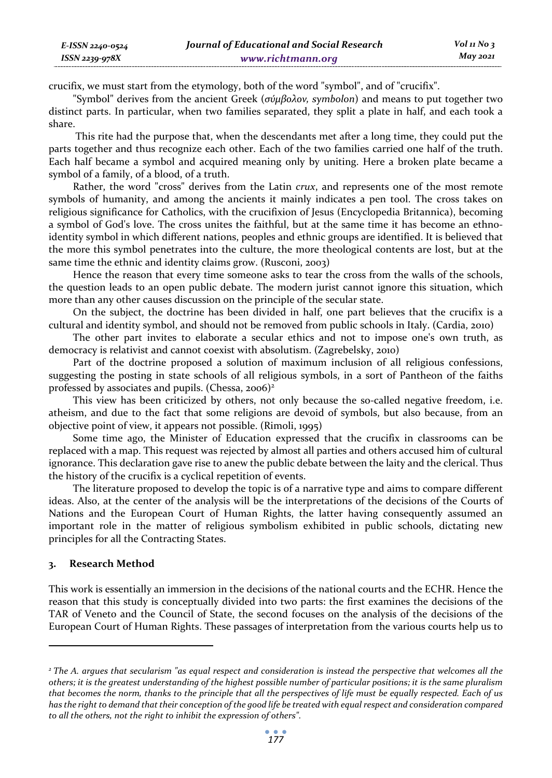crucifix, we must start from the etymology, both of the word "symbol", and of "crucifix".

"Symbol" derives from the ancient Greek (*σύμβολον, symbolon*) and means to put together two distinct parts. In particular, when two families separated, they split a plate in half, and each took a share.

 This rite had the purpose that, when the descendants met after a long time, they could put the parts together and thus recognize each other. Each of the two families carried one half of the truth. Each half became a symbol and acquired meaning only by uniting. Here a broken plate became a symbol of a family, of a blood, of a truth.

Rather, the word "cross" derives from the Latin *crux*, and represents one of the most remote symbols of humanity, and among the ancients it mainly indicates a pen tool. The cross takes on religious significance for Catholics, with the crucifixion of Jesus (Encyclopedia Britannica), becoming a symbol of God's love. The cross unites the faithful, but at the same time it has become an ethnoidentity symbol in which different nations, peoples and ethnic groups are identified. It is believed that the more this symbol penetrates into the culture, the more theological contents are lost, but at the same time the ethnic and identity claims grow. (Rusconi, 2003)

Hence the reason that every time someone asks to tear the cross from the walls of the schools, the question leads to an open public debate. The modern jurist cannot ignore this situation, which more than any other causes discussion on the principle of the secular state.

On the subject, the doctrine has been divided in half, one part believes that the crucifix is a cultural and identity symbol, and should not be removed from public schools in Italy. (Cardia, 2010)

The other part invites to elaborate a secular ethics and not to impose one's own truth, as democracy is relativist and cannot coexist with absolutism. (Zagrebelsky, 2010)

Part of the doctrine proposed a solution of maximum inclusion of all religious confessions, suggesting the posting in state schools of all religious symbols, in a sort of Pantheon of the faiths professed by associates and pupils. (Chessa, 2006)<sup>2</sup>

This view has been criticized by others, not only because the so-called negative freedom, i.e. atheism, and due to the fact that some religions are devoid of symbols, but also because, from an objective point of view, it appears not possible. (Rimoli, 1995)

Some time ago, the Minister of Education expressed that the crucifix in classrooms can be replaced with a map. This request was rejected by almost all parties and others accused him of cultural ignorance. This declaration gave rise to anew the public debate between the laity and the clerical. Thus the history of the crucifix is a cyclical repetition of events.

The literature proposed to develop the topic is of a narrative type and aims to compare different ideas. Also, at the center of the analysis will be the interpretations of the decisions of the Courts of Nations and the European Court of Human Rights, the latter having consequently assumed an important role in the matter of religious symbolism exhibited in public schools, dictating new principles for all the Contracting States.

# **3. Research Method**

This work is essentially an immersion in the decisions of the national courts and the ECHR. Hence the reason that this study is conceptually divided into two parts: the first examines the decisions of the TAR of Veneto and the Council of State, the second focuses on the analysis of the decisions of the European Court of Human Rights. These passages of interpretation from the various courts help us to

*<sup>2</sup> The A. argues that secularism "as equal respect and consideration is instead the perspective that welcomes all the others; it is the greatest understanding of the highest possible number of particular positions; it is the same pluralism that becomes the norm, thanks to the principle that all the perspectives of life must be equally respected. Each of us has the right to demand that their conception of the good life be treated with equal respect and consideration compared to all the others, not the right to inhibit the expression of others".*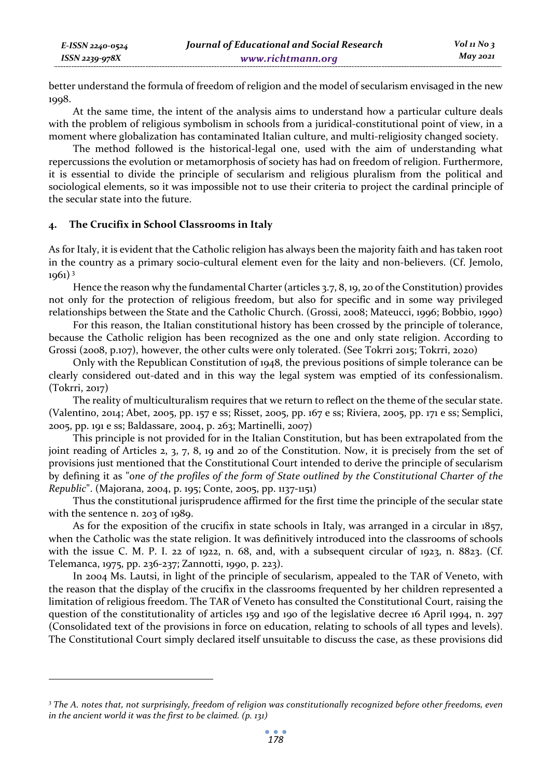better understand the formula of freedom of religion and the model of secularism envisaged in the new 1998.

At the same time, the intent of the analysis aims to understand how a particular culture deals with the problem of religious symbolism in schools from a juridical-constitutional point of view, in a moment where globalization has contaminated Italian culture, and multi-religiosity changed society.

The method followed is the historical-legal one, used with the aim of understanding what repercussions the evolution or metamorphosis of society has had on freedom of religion. Furthermore, it is essential to divide the principle of secularism and religious pluralism from the political and sociological elements, so it was impossible not to use their criteria to project the cardinal principle of the secular state into the future.

## **4. The Crucifix in School Classrooms in Italy**

*E-ISSN 2240-0524 ISSN 2239-978X*

As for Italy, it is evident that the Catholic religion has always been the majority faith and has taken root in the country as a primary socio-cultural element even for the laity and non-believers. (Cf. Jemolo, 1961) 3

Hence the reason why the fundamental Charter (articles 3.7, 8, 19, 20 of the Constitution) provides not only for the protection of religious freedom, but also for specific and in some way privileged relationships between the State and the Catholic Church. (Grossi, 2008; Mateucci, 1996; Bobbio, 1990)

For this reason, the Italian constitutional history has been crossed by the principle of tolerance, because the Catholic religion has been recognized as the one and only state religion. According to Grossi (2008, p.107), however, the other cults were only tolerated. (See Tokrri 2015; Tokrri, 2020)

Only with the Republican Constitution of 1948, the previous positions of simple tolerance can be clearly considered out-dated and in this way the legal system was emptied of its confessionalism. (Tokrri, 2017)

The reality of multiculturalism requires that we return to reflect on the theme of the secular state. (Valentino, 2014; Abet, 2005, pp. 157 e ss; Risset, 2005, pp. 167 e ss; Riviera, 2005, pp. 171 e ss; Semplici, 2005, pp. 191 e ss; Baldassare, 2004, p. 263; Martinelli, 2007)

This principle is not provided for in the Italian Constitution, but has been extrapolated from the joint reading of Articles 2, 3, 7, 8, 19 and 20 of the Constitution. Now, it is precisely from the set of provisions just mentioned that the Constitutional Court intended to derive the principle of secularism by defining it as "*one of the profiles of the form of State outlined by the Constitutional Charter of the Republic*". (Majorana, 2004, p. 195; Conte, 2005, pp. 1137-1151)

Thus the constitutional jurisprudence affirmed for the first time the principle of the secular state with the sentence n. 203 of 1989.

As for the exposition of the crucifix in state schools in Italy, was arranged in a circular in 1857, when the Catholic was the state religion. It was definitively introduced into the classrooms of schools with the issue C. M. P. I. 22 of 1922, n. 68, and, with a subsequent circular of 1923, n. 8823. (Cf. Telemanca, 1975, pp. 236-237; Zannotti, 1990, p. 223).

In 2004 Ms. Lautsi, in light of the principle of secularism, appealed to the TAR of Veneto, with the reason that the display of the crucifix in the classrooms frequented by her children represented a limitation of religious freedom. The TAR of Veneto has consulted the Constitutional Court, raising the question of the constitutionality of articles 159 and 190 of the legislative decree 16 April 1994, n. 297 (Consolidated text of the provisions in force on education, relating to schools of all types and levels). The Constitutional Court simply declared itself unsuitable to discuss the case, as these provisions did

*<sup>3</sup> The A. notes that, not surprisingly, freedom of religion was constitutionally recognized before other freedoms, even in the ancient world it was the first to be claimed. (p. 131)*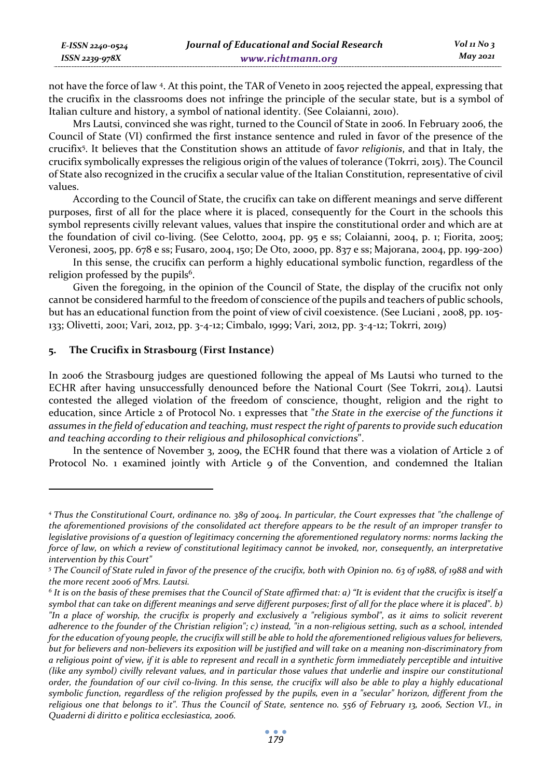| E-ISSN 2240-0524 | Journal of Educational and Social Research | Vol 11 No 3     |
|------------------|--------------------------------------------|-----------------|
| ISSN 2239-978X   | www.richtmann.org                          | <b>May 2021</b> |

not have the force of law 4. At this point, the TAR of Veneto in 2005 rejected the appeal, expressing that the crucifix in the classrooms does not infringe the principle of the secular state, but is a symbol of Italian culture and history, a symbol of national identity. (See Colaianni, 2010).

Mrs Lautsi, convinced she was right, turned to the Council of State in 2006. In February 2006, the Council of State (VI) confirmed the first instance sentence and ruled in favor of the presence of the crucifix5 . It believes that the Constitution shows an attitude of fa*vor religionis*, and that in Italy, the crucifix symbolically expresses the religious origin of the values of tolerance (Tokrri, 2015). The Council of State also recognized in the crucifix a secular value of the Italian Constitution, representative of civil values.

According to the Council of State, the crucifix can take on different meanings and serve different purposes, first of all for the place where it is placed, consequently for the Court in the schools this symbol represents civilly relevant values, values that inspire the constitutional order and which are at the foundation of civil co-living. (See Celotto, 2004, pp. 95 e ss; Colaianni, 2004, p. 1; Fiorita, 2005; Veronesi, 2005, pp. 678 e ss; Fusaro, 2004, 150; De Oto, 2000, pp. 837 e ss; Majorana, 2004, pp. 199-200)

In this sense, the crucifix can perform a highly educational symbolic function, regardless of the religion professed by the pupils<sup>6</sup>.

Given the foregoing, in the opinion of the Council of State, the display of the crucifix not only cannot be considered harmful to the freedom of conscience of the pupils and teachers of public schools, but has an educational function from the point of view of civil coexistence. (See Luciani , 2008, pp. 105- 133; Olivetti, 2001; Vari, 2012, pp. 3-4-12; Cimbalo, 1999; Vari, 2012, pp. 3-4-12; Tokrri, 2019)

# **5. The Crucifix in Strasbourg (First Instance)**

In 2006 the Strasbourg judges are questioned following the appeal of Ms Lautsi who turned to the ECHR after having unsuccessfully denounced before the National Court (See Tokrri, 2014). Lautsi contested the alleged violation of the freedom of conscience, thought, religion and the right to education, since Article 2 of Protocol No. 1 expresses that "*the State in the exercise of the functions it assumes in the field of education and teaching, must respect the right of parents to provide such education and teaching according to their religious and philosophical convictions*".

In the sentence of November 3, 2009, the ECHR found that there was a violation of Article 2 of Protocol No. 1 examined jointly with Article 9 of the Convention, and condemned the Italian

*<sup>4</sup> Thus the Constitutional Court, ordinance no. 389 of 2004. In particular, the Court expresses that "the challenge of the aforementioned provisions of the consolidated act therefore appears to be the result of an improper transfer to legislative provisions of a question of legitimacy concerning the aforementioned regulatory norms: norms lacking the* force of law, on which a review of constitutional legitimacy cannot be invoked, nor, consequently, an interpretative *intervention by this Court"* 

*<sup>5</sup> The Council of State ruled in favor of the presence of the crucifix, both with Opinion no. 63 of 1988, of 1988 and with the more recent 2006 of Mrs. Lautsi.* 

 $^6$  It is on the basis of these premises that the Council of State affirmed that: a) "It is evident that the crucifix is itself a  $\,$ *symbol that can take on different meanings and serve different purposes; first of all for the place where it is placed". b) "In a place of worship, the crucifix is properly and exclusively a "religious symbol", as it aims to solicit reverent adherence to the founder of the Christian religion"; c) instead, "in a non-religious setting, such as a school, intended for the education of young people, the crucifix will still be able to hold the aforementioned religious values for believers, but for believers and non-believers its exposition will be justified and will take on a meaning non-discriminatory from a religious point of view, if it is able to represent and recall in a synthetic form immediately perceptible and intuitive (like any symbol) civilly relevant values, and in particular those values that underlie and inspire our constitutional order, the foundation of our civil co-living. In this sense, the crucifix will also be able to play a highly educational symbolic function, regardless of the religion professed by the pupils, even in a "secular" horizon, different from the religious one that belongs to it". Thus the Council of State, sentence no. 556 of February 13, 2006, Section VI., in Quaderni di diritto e politica ecclesiastica, 2006.*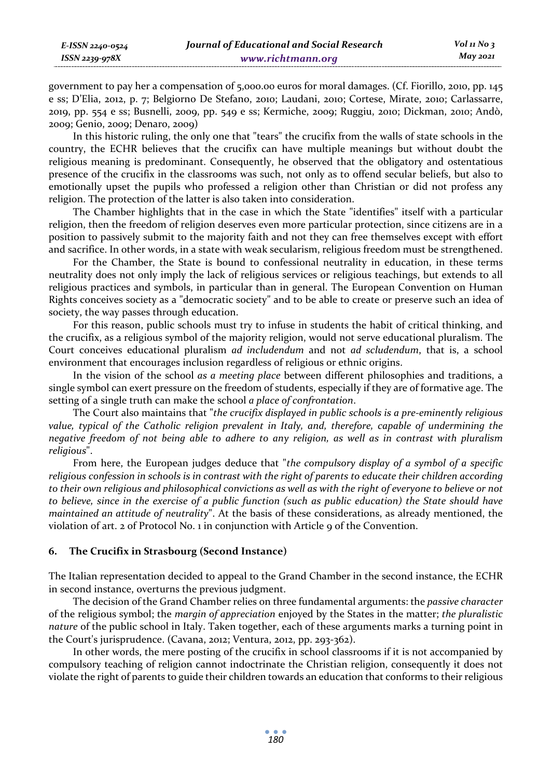government to pay her a compensation of 5,000.00 euros for moral damages. (Cf. Fiorillo, 2010, pp. 145 e ss; D'Elia, 2012, p. 7; Belgiorno De Stefano, 2010; Laudani, 2010; Cortese, Mirate, 2010; Carlassarre, 2019, pp. 554 e ss; Busnelli, 2009, pp. 549 e ss; Kermiche, 2009; Ruggiu, 2010; Dickman, 2010; Andò, 2009; Genio, 2009; Denaro, 2009)

In this historic ruling, the only one that "tears" the crucifix from the walls of state schools in the country, the ECHR believes that the crucifix can have multiple meanings but without doubt the religious meaning is predominant. Consequently, he observed that the obligatory and ostentatious presence of the crucifix in the classrooms was such, not only as to offend secular beliefs, but also to emotionally upset the pupils who professed a religion other than Christian or did not profess any religion. The protection of the latter is also taken into consideration.

The Chamber highlights that in the case in which the State "identifies" itself with a particular religion, then the freedom of religion deserves even more particular protection, since citizens are in a position to passively submit to the majority faith and not they can free themselves except with effort and sacrifice. In other words, in a state with weak secularism, religious freedom must be strengthened.

For the Chamber, the State is bound to confessional neutrality in education, in these terms neutrality does not only imply the lack of religious services or religious teachings, but extends to all religious practices and symbols, in particular than in general. The European Convention on Human Rights conceives society as a "democratic society" and to be able to create or preserve such an idea of society, the way passes through education.

For this reason, public schools must try to infuse in students the habit of critical thinking, and the crucifix, as a religious symbol of the majority religion, would not serve educational pluralism. The Court conceives educational pluralism *ad includendum* and not *ad scludendum*, that is, a school environment that encourages inclusion regardless of religious or ethnic origins.

In the vision of the school *as a meeting place* between different philosophies and traditions, a single symbol can exert pressure on the freedom of students, especially if they are of formative age. The setting of a single truth can make the school *a place of confrontation*.

The Court also maintains that "*the crucifix displayed in public schools is a pre-eminently religious value, typical of the Catholic religion prevalent in Italy, and, therefore, capable of undermining the negative freedom of not being able to adhere to any religion, as well as in contrast with pluralism religious*".

From here, the European judges deduce that "*the compulsory display of a symbol of a specific religious confession in schools is in contrast with the right of parents to educate their children according to their own religious and philosophical convictions as well as with the right of everyone to believe or not to believe, since in the exercise of a public function (such as public education) the State should have maintained an attitude of neutrality*". At the basis of these considerations, as already mentioned, the violation of art. 2 of Protocol No. 1 in conjunction with Article 9 of the Convention.

# **6. The Crucifix in Strasbourg (Second Instance)**

*E-ISSN 2240-0524 ISSN 2239-978X*

The Italian representation decided to appeal to the Grand Chamber in the second instance, the ECHR in second instance, overturns the previous judgment.

The decision of the Grand Chamber relies on three fundamental arguments: the *passive character* of the religious symbol; the *margin of appreciation* enjoyed by the States in the matter; *the pluralistic nature* of the public school in Italy. Taken together, each of these arguments marks a turning point in the Court's jurisprudence. (Cavana, 2012; Ventura, 2012, pp. 293-362).

In other words, the mere posting of the crucifix in school classrooms if it is not accompanied by compulsory teaching of religion cannot indoctrinate the Christian religion, consequently it does not violate the right of parents to guide their children towards an education that conforms to their religious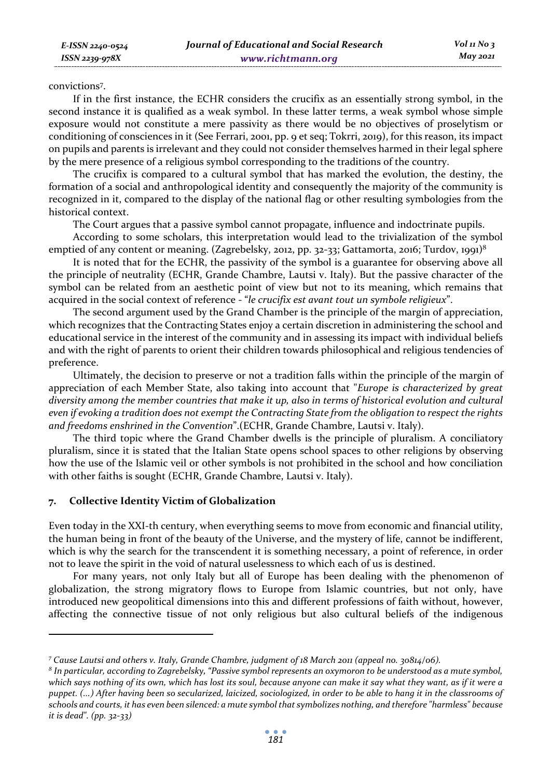convictions7 .

If in the first instance, the ECHR considers the crucifix as an essentially strong symbol, in the second instance it is qualified as a weak symbol. In these latter terms, a weak symbol whose simple exposure would not constitute a mere passivity as there would be no objectives of proselytism or conditioning of consciences in it (See Ferrari, 2001, pp. 9 et seq; Tokrri, 2019), for this reason, its impact on pupils and parents is irrelevant and they could not consider themselves harmed in their legal sphere by the mere presence of a religious symbol corresponding to the traditions of the country.

The crucifix is compared to a cultural symbol that has marked the evolution, the destiny, the formation of a social and anthropological identity and consequently the majority of the community is recognized in it, compared to the display of the national flag or other resulting symbologies from the historical context.

The Court argues that a passive symbol cannot propagate, influence and indoctrinate pupils.

According to some scholars, this interpretation would lead to the trivialization of the symbol emptied of any content or meaning. (Zagrebelsky, 2012, pp. 32-33; Gattamorta, 2016; Turdov, 1991)<sup>8</sup>

It is noted that for the ECHR, the passivity of the symbol is a guarantee for observing above all the principle of neutrality (ECHR, Grande Chambre, Lautsi v. Italy). But the passive character of the symbol can be related from an aesthetic point of view but not to its meaning, which remains that acquired in the social context of reference - "*le crucifix est avant tout un symbole religieux*".

The second argument used by the Grand Chamber is the principle of the margin of appreciation, which recognizes that the Contracting States enjoy a certain discretion in administering the school and educational service in the interest of the community and in assessing its impact with individual beliefs and with the right of parents to orient their children towards philosophical and religious tendencies of preference.

Ultimately, the decision to preserve or not a tradition falls within the principle of the margin of appreciation of each Member State, also taking into account that "*Europe is characterized by great diversity among the member countries that make it up, also in terms of historical evolution and cultural even if evoking a tradition does not exempt the Contracting State from the obligation to respect the rights and freedoms enshrined in the Convention*".(ECHR, Grande Chambre, Lautsi v. Italy).

The third topic where the Grand Chamber dwells is the principle of pluralism. A conciliatory pluralism, since it is stated that the Italian State opens school spaces to other religions by observing how the use of the Islamic veil or other symbols is not prohibited in the school and how conciliation with other faiths is sought (ECHR, Grande Chambre, Lautsi v. Italy).

# **7. Collective Identity Victim of Globalization**

Even today in the XXI-th century, when everything seems to move from economic and financial utility, the human being in front of the beauty of the Universe, and the mystery of life, cannot be indifferent, which is why the search for the transcendent it is something necessary, a point of reference, in order not to leave the spirit in the void of natural uselessness to which each of us is destined.

For many years, not only Italy but all of Europe has been dealing with the phenomenon of globalization, the strong migratory flows to Europe from Islamic countries, but not only, have introduced new geopolitical dimensions into this and different professions of faith without, however, affecting the connective tissue of not only religious but also cultural beliefs of the indigenous

*<sup>7</sup> Cause Lautsi and others v. Italy, Grande Chambre, judgment of 18 March 2011 (appeal no. 30814/06).* 

*<sup>8</sup> In particular, according to Zagrebelsky, "Passive symbol represents an oxymoron to be understood as a mute symbol, which says nothing of its own, which has lost its soul, because anyone can make it say what they want, as if it were a puppet. (...) After having been so secularized, laicized, sociologized, in order to be able to hang it in the classrooms of schools and courts, it has even been silenced: a mute symbol that symbolizes nothing, and therefore "harmless" because it is dead". (pp. 32-33)*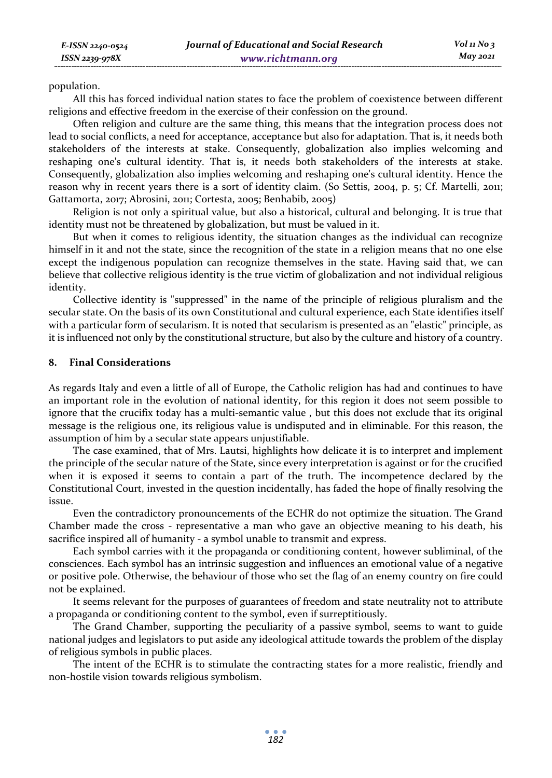population.

All this has forced individual nation states to face the problem of coexistence between different religions and effective freedom in the exercise of their confession on the ground.

Often religion and culture are the same thing, this means that the integration process does not lead to social conflicts, a need for acceptance, acceptance but also for adaptation. That is, it needs both stakeholders of the interests at stake. Consequently, globalization also implies welcoming and reshaping one's cultural identity. That is, it needs both stakeholders of the interests at stake. Consequently, globalization also implies welcoming and reshaping one's cultural identity. Hence the reason why in recent years there is a sort of identity claim. (So Settis, 2004, p. 5; Cf. Martelli, 2011; Gattamorta, 2017; Abrosini, 2011; Cortesta, 2005; Benhabib, 2005)

Religion is not only a spiritual value, but also a historical, cultural and belonging. It is true that identity must not be threatened by globalization, but must be valued in it.

But when it comes to religious identity, the situation changes as the individual can recognize himself in it and not the state, since the recognition of the state in a religion means that no one else except the indigenous population can recognize themselves in the state. Having said that, we can believe that collective religious identity is the true victim of globalization and not individual religious identity.

Collective identity is "suppressed" in the name of the principle of religious pluralism and the secular state. On the basis of its own Constitutional and cultural experience, each State identifies itself with a particular form of secularism. It is noted that secularism is presented as an "elastic" principle, as it is influenced not only by the constitutional structure, but also by the culture and history of a country.

## **8. Final Considerations**

As regards Italy and even a little of all of Europe, the Catholic religion has had and continues to have an important role in the evolution of national identity, for this region it does not seem possible to ignore that the crucifix today has a multi-semantic value , but this does not exclude that its original message is the religious one, its religious value is undisputed and in eliminable. For this reason, the assumption of him by a secular state appears unjustifiable.

The case examined, that of Mrs. Lautsi, highlights how delicate it is to interpret and implement the principle of the secular nature of the State, since every interpretation is against or for the crucified when it is exposed it seems to contain a part of the truth. The incompetence declared by the Constitutional Court, invested in the question incidentally, has faded the hope of finally resolving the issue.

Even the contradictory pronouncements of the ECHR do not optimize the situation. The Grand Chamber made the cross - representative a man who gave an objective meaning to his death, his sacrifice inspired all of humanity - a symbol unable to transmit and express.

Each symbol carries with it the propaganda or conditioning content, however subliminal, of the consciences. Each symbol has an intrinsic suggestion and influences an emotional value of a negative or positive pole. Otherwise, the behaviour of those who set the flag of an enemy country on fire could not be explained.

It seems relevant for the purposes of guarantees of freedom and state neutrality not to attribute a propaganda or conditioning content to the symbol, even if surreptitiously.

The Grand Chamber, supporting the peculiarity of a passive symbol, seems to want to guide national judges and legislators to put aside any ideological attitude towards the problem of the display of religious symbols in public places.

The intent of the ECHR is to stimulate the contracting states for a more realistic, friendly and non-hostile vision towards religious symbolism.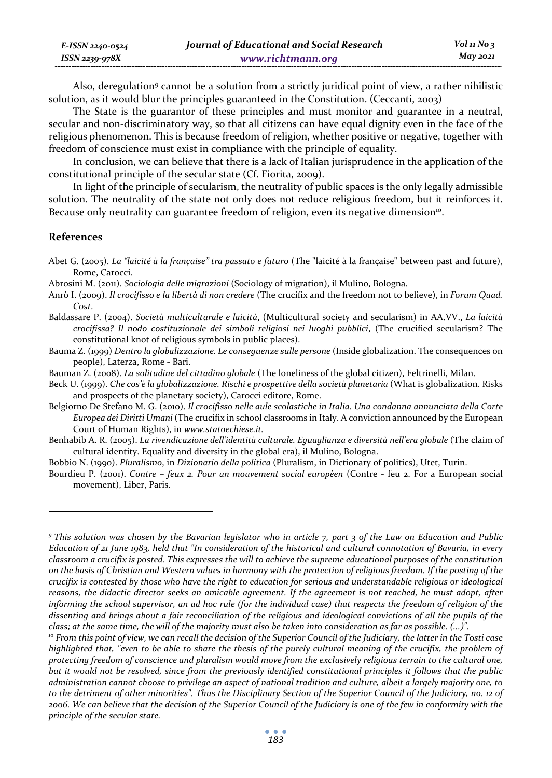| E-ISSN 2240-0524 | Journal of Educational and Social Research | Vol 11 No $\frac{1}{3}$ |
|------------------|--------------------------------------------|-------------------------|
| ISSN 2239-978X   | www.richtmann.org                          | May 2021                |

Also, deregulation9 cannot be a solution from a strictly juridical point of view, a rather nihilistic solution, as it would blur the principles guaranteed in the Constitution. (Ceccanti, 2003)

The State is the guarantor of these principles and must monitor and guarantee in a neutral, secular and non-discriminatory way, so that all citizens can have equal dignity even in the face of the religious phenomenon. This is because freedom of religion, whether positive or negative, together with freedom of conscience must exist in compliance with the principle of equality.

In conclusion, we can believe that there is a lack of Italian jurisprudence in the application of the constitutional principle of the secular state (Cf. Fiorita, 2009).

In light of the principle of secularism, the neutrality of public spaces is the only legally admissible solution. The neutrality of the state not only does not reduce religious freedom, but it reinforces it. Because only neutrality can guarantee freedom of religion, even its negative dimension<sup>10</sup>.

## **References**

Abrosini M. (2011). *Sociologia delle migrazioni* (Sociology of migration), il Mulino, Bologna.

- Anrò I. (2009). *Il crocifisso e la libertà di non credere* (The crucifix and the freedom not to believe), in *Forum Quad. Cost*.
- Baldassare P. (2004). *Società multiculturale e laicità*, (Multicultural society and secularism) in AA.VV., *La laicità crocifissa? Il nodo costituzionale dei simboli religiosi nei luoghi pubblici*, (The crucified secularism? The constitutional knot of religious symbols in public places).
- Bauma Z. (1999) *Dentro la globalizzazione. Le conseguenze sulle persone* (Inside globalization. The consequences on people), Laterza, Rome - Bari.
- Bauman Z. (2008). *La solitudine del cittadino globale* (The loneliness of the global citizen), Feltrinelli, Milan.
- Beck U. (1999). *Che cos'è la globalizzazione. Rischi e prospettive della società planetaria* (What is globalization. Risks and prospects of the planetary society), Carocci editore, Rome.
- Belgiorno De Stefano M. G. (2010). *Il crocifisso nelle aule scolastiche in Italia. Una condanna annunciata della Corte Europea dei Diritti Umani* (The crucifix in school classrooms in Italy. A conviction announced by the European Court of Human Rights), in *www.statoechiese.it.*
- Benhabib A. R. (2005). *La rivendicazione dell'identità culturale. Eguaglianza e diversità nell'era globale* (The claim of cultural identity. Equality and diversity in the global era), il Mulino, Bologna.
- Bobbio N. (1990). *Pluralismo*, in *Dizionario della politica* (Pluralism, in Dictionary of politics), Utet, Turin.
- Bourdieu P. (2001). *Contre feux 2. Pour un mouvement social europèen* (Contre feu 2. For a European social movement), Liber, Paris.

Abet G. (2005). *La "laicité à la française" tra passato e futuro* (The "laicité à la française" between past and future), Rome, Carocci.

*<sup>9</sup> This solution was chosen by the Bavarian legislator who in article 7, part 3 of the Law on Education and Public Education of 21 June 1983, held that "In consideration of the historical and cultural connotation of Bavaria, in every classroom a crucifix is posted. This expresses the will to achieve the supreme educational purposes of the constitution on the basis of Christian and Western values in harmony with the protection of religious freedom. If the posting of the crucifix is contested by those who have the right to education for serious and understandable religious or ideological reasons, the didactic director seeks an amicable agreement. If the agreement is not reached, he must adopt, after informing the school supervisor, an ad hoc rule (for the individual case) that respects the freedom of religion of the dissenting and brings about a fair reconciliation of the religious and ideological convictions of all the pupils of the*  class; at the same time, the will of the majority must also be taken into consideration as far as possible. (…)".<br><sup>10</sup> From this point of view, we can recall the decision of the Superior Council of the Judiciary, the latte

*highlighted that, "even to be able to share the thesis of the purely cultural meaning of the crucifix, the problem of protecting freedom of conscience and pluralism would move from the exclusively religious terrain to the cultural one, but it would not be resolved, since from the previously identified constitutional principles it follows that the public administration cannot choose to privilege an aspect of national tradition and culture, albeit a largely majority one, to to the detriment of other minorities". Thus the Disciplinary Section of the Superior Council of the Judiciary, no. 12 of 2006. We can believe that the decision of the Superior Council of the Judiciary is one of the few in conformity with the principle of the secular state.*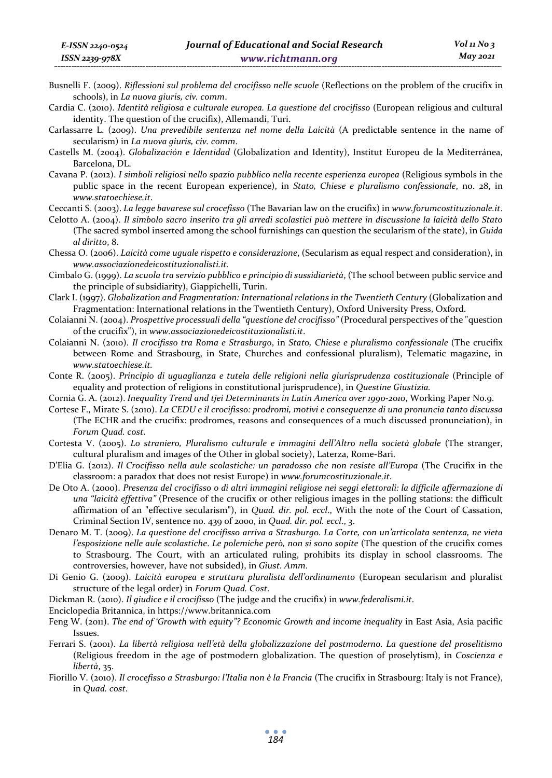- Busnelli F. (2009). *Riflessioni sul problema del crocifisso nelle scuole* (Reflections on the problem of the crucifix in schools), in *La nuova giuris, civ. comm*.
- Cardia C. (2010). *Identità religiosa e culturale europea. La questione del crocifisso* (European religious and cultural identity. The question of the crucifix), Allemandi, Turi.
- Carlassarre L. (2009). *Una prevedibile sentenza nel nome della Laicità* (A predictable sentence in the name of secularism) in *La nuova giuris, civ. comm*.
- Castells M. (2004). *Globalización e Identidad* (Globalization and Identity), Institut Europeu de la Mediterránea, Barcelona, DL.
- Cavana P. (2012). *I simboli religiosi nello spazio pubblico nella recente esperienza europea* (Religious symbols in the public space in the recent European experience), in *Stato, Chiese e pluralismo confessionale*, no. 28, in *www.statoechiese.it*.
- Ceccanti S. (2003). *La legge bavarese sul crocefisso* (The Bavarian law on the crucifix) in *www.forumcostituzionale.it*.
- Celotto A. (2004). *Il simbolo sacro inserito tra gli arredi scolastici può mettere in discussione la laicità dello Stato* (The sacred symbol inserted among the school furnishings can question the secularism of the state), in *Guida al diritto*, 8.
- Chessa O. (2006). *Laicità come uguale rispetto e considerazione*, (Secularism as equal respect and consideration), in *www.associazionedeicostituzionalisti.it.*
- Cimbalo G. (1999). *La scuola tra servizio pubblico e principio di sussidiarietà*, (The school between public service and the principle of subsidiarity), Giappichelli, Turin.
- Clark I. (1997). *Globalization and Fragmentation: International relations in the Twentieth Century* (Globalization and Fragmentation: International relations in the Twentieth Century), Oxford University Press, Oxford.
- Colaianni N. (2004). *Prospettive processuali della "questione del crocifisso"* (Procedural perspectives of the "question of the crucifix"), in *www.associazionedeicostituzionalisti.it*.
- Colaianni N. (2010). *Il crocifisso tra Roma e Strasburgo*, in *Stato, Chiese e pluralismo confessionale* (The crucifix between Rome and Strasbourg, in State, Churches and confessional pluralism), Telematic magazine, in *www.statoechiese.it.*
- Conte R. (2005). *Principio di uguaglianza e tutela delle religioni nella giurisprudenza costituzionale* (Principle of equality and protection of religions in constitutional jurisprudence), in *Questine Giustizia.*
- Cornia G. A. (2012). *Inequality Trend and tjei Determinants in Latin America over 1990-2010*, Working Paper No.9.
- Cortese F., Mirate S. (2010). *La CEDU e il crocifisso: prodromi, motivi e conseguenze di una pronuncia tanto discussa* (The ECHR and the crucifix: prodromes, reasons and consequences of a much discussed pronunciation), in *Forum Quad. cost*.
- Cortesta V. (2005). *Lo straniero, Pluralismo culturale e immagini dell'Altro nella società globale* (The stranger, cultural pluralism and images of the Other in global society), Laterza, Rome-Bari.
- D'Elia G. (2012). *Il Crocifisso nella aule scolastiche: un paradosso che non resiste all'Europa* (The Crucifix in the classroom: a paradox that does not resist Europe) in *www.forumcostituzionale.it*.
- De Oto A. (2000). *Presenza del crocifisso o di altri immagini religiose nei seggi elettorali: la difficile affermazione di una "laicità effettiva"* (Presence of the crucifix or other religious images in the polling stations: the difficult affirmation of an "effective secularism"), in *Quad. dir. pol. eccl*., With the note of the Court of Cassation, Criminal Section IV, sentence no. 439 of 2000, in *Quad. dir. pol. eccl*., 3.
- Denaro M. T. (2009). *La questione del crocifisso arriva a Strasburgo. La Corte, con un'articolata sentenza, ne vieta l'esposizione nelle aule scolastiche*. *Le polemiche però, non si sono sopite* (The question of the crucifix comes to Strasbourg. The Court, with an articulated ruling, prohibits its display in school classrooms. The controversies, however, have not subsided), in *Giust. Amm*.
- Di Genio G. (2009). *Laicità europea e struttura pluralista dell'ordinamento* (European secularism and pluralist structure of the legal order) in *Forum Quad. Cost*.
- Dickman R. (2010). *Il giudice e il crocifisso* (The judge and the crucifix) in *www.federalismi.it*.
- Enciclopedia Britannica, in https://www.britannica.com
- Feng W. (2011). *The end of 'Growth with equity"? Economic Growth and income inequality* in East Asia, Asia pacific Issues.
- Ferrari S. (2001). *La libertà religiosa nell'età della globalizzazione del postmoderno. La questione del proselitismo* (Religious freedom in the age of postmodern globalization. The question of proselytism), in *Coscienza e libertà*, 35.
- Fiorillo V. (2010). *Il crocefisso a Strasburgo: l'Italia non è la Francia* (The crucifix in Strasbourg: Italy is not France), in *Quad. cost*.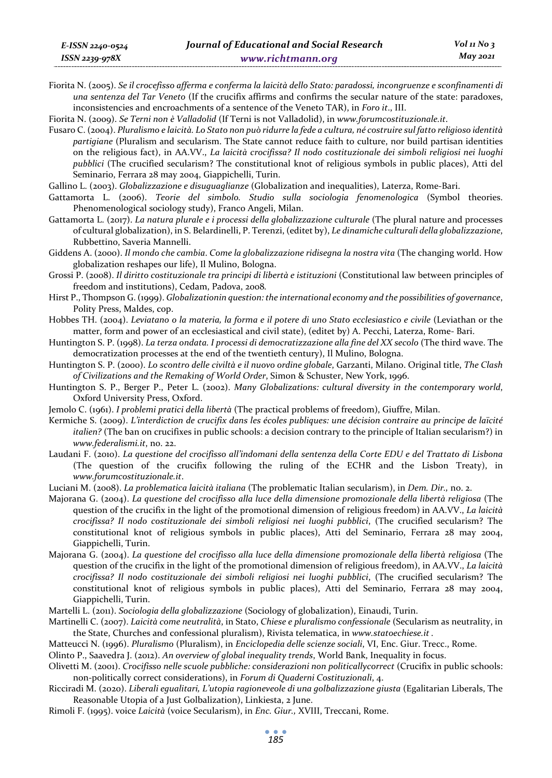Fiorita N. (2005). *Se il crocefisso afferma e conferma la laicità dello Stato: paradossi, incongruenze e sconfinamenti di una sentenza del Tar Veneto* (If the crucifix affirms and confirms the secular nature of the state: paradoxes, inconsistencies and encroachments of a sentence of the Veneto TAR), in *Foro it*., III.

Fiorita N. (2009). *Se Terni non è Valladolid* (If Terni is not Valladolid), in *www.forumcostituzionale.it*.

Fusaro C. (2004). *Pluralismo e laicità. Lo Stato non può ridurre la fede a cultura, né costruire sul fatto religioso identità partigiane* (Pluralism and secularism. The State cannot reduce faith to culture, nor build partisan identities on the religious fact), in AA.VV., *La laicità crocifissa? Il nodo costituzionale dei simboli religiosi nei luoghi pubblici* (The crucified secularism? The constitutional knot of religious symbols in public places), Atti del Seminario, Ferrara 28 may 2004, Giappichelli, Turin.

Gallino L. (2003). *Globalizzazione e disuguaglianze* (Globalization and inequalities), Laterza, Rome-Bari.

- Gattamorta L. (2006). *Teorie del simbolo. Studio sulla sociologia fenomenologica* (Symbol theories. Phenomenological sociology study), Franco Angeli, Milan.
- Gattamorta L. (2017). *La natura plurale e i processi della globalizzazione culturale* (The plural nature and processes of cultural globalization), in S. Belardinelli, P. Terenzi, (editet by), *Le dinamiche culturali della globalizzazione*, Rubbettino, Saveria Mannelli.
- Giddens A. (2000). *Il mondo che cambia*. *Come la globalizzazione ridisegna la nostra vita* (The changing world. How globalization reshapes our life), Il Mulino, Bologna.
- Grossi P. (2008). *Il diritto costituzionale tra principi di libertà e istituzioni* (Constitutional law between principles of freedom and institutions), Cedam, Padova, 2008*.*
- Hirst P., Thompson G. (1999). *Globalizationin question: the international economy and the possibilities of governance*, Polity Press, Maldes, cop.
- Hobbes TH. (2004). *Leviatano o la materia, la forma e il potere di uno Stato ecclesiastico e civile* (Leviathan or the matter, form and power of an ecclesiastical and civil state), (editet by) A. Pecchi, Laterza, Rome- Bari.
- Huntington S. P. (1998). *La terza ondata. I processi di democratizzazione alla fine del XX secolo* (The third wave. The democratization processes at the end of the twentieth century), Il Mulino, Bologna.
- Huntington S. P. (2000). *Lo scontro delle civiltà e il nuovo ordine globale*, Garzanti, Milano. Original title, *The Clash of Civilizations and the Remaking of World Order*, Simon & Schuster, New York, 1996.
- Huntington S. P., Berger P., Peter L. (2002). *Many Globalizations: cultural diversity in the contemporary world*, Oxford University Press, Oxford.
- Jemolo C. (1961). *I problemi pratici della libertà* (The practical problems of freedom), Giuffre, Milan.
- Kermiche S. (2009). *L'interdiction de crucifix dans les écoles publiques: une décision contraire au principe de laïcité italien?* (The ban on crucifixes in public schools: a decision contrary to the principle of Italian secularism?) in *www.federalismi.it*, no. 22.
- Laudani F. (2010). *La questione del crocifisso all'indomani della sentenza della Corte EDU e del Trattato di Lisbona* (The question of the crucifix following the ruling of the ECHR and the Lisbon Treaty), in *www.forumcostituzionale.it*.
- Luciani M. (2008). *La problematica laicità italiana* (The problematic Italian secularism), in *Dem. Dir.,* no. 2.
- Majorana G. (2004). *La questione del crocifisso alla luce della dimensione promozionale della libertà religiosa* (The question of the crucifix in the light of the promotional dimension of religious freedom) in AA.VV., *La laicità crocifissa? Il nodo costituzionale dei simboli religiosi nei luoghi pubblici*, (The crucified secularism? The constitutional knot of religious symbols in public places), Atti del Seminario, Ferrara 28 may 2004, Giappichelli, Turin.
- Majorana G. (2004). *La questione del crocifisso alla luce della dimensione promozionale della libertà religiosa* (The question of the crucifix in the light of the promotional dimension of religious freedom), in AA.VV., *La laicità crocifissa? Il nodo costituzionale dei simboli religiosi nei luoghi pubblici*, (The crucified secularism? The constitutional knot of religious symbols in public places), Atti del Seminario, Ferrara 28 may 2004, Giappichelli, Turin.
- Martelli L. (2011). *Sociologia della globalizzazione* (Sociology of globalization), Einaudi, Turin.
- Martinelli C. (2007). *Laicità come neutralità*, in Stato, *Chiese e pluralismo confessionale* (Secularism as neutrality, in the State, Churches and confessional pluralism), Rivista telematica, in *www.statoechiese.it .*
- Matteucci N. (1996). *Pluralismo* (Pluralism), in *Enciclopedia delle scienze sociali*, VI, Enc. Giur. Trecc., Rome.

Olinto P., Saavedra J. (2012). *An overview of global inequality trends*, World Bank, Inequality in focus.

Olivetti M. (2001). *Crocifisso nelle scuole pubbliche: considerazioni non politicallycorrect* (Crucifix in public schools: non-politically correct considerations), in *Forum di Quaderni Costituzionali*, 4.

Ricciradi M. (2020). *Liberali egualitari, L'utopia ragioneveole di una golbalizzazione giusta* (Egalitarian Liberals, The Reasonable Utopia of a Just Golbalization), Linkiesta, 2 June.

Rimoli F. (1995). voice *Laicità* (voice Secularism), in *Enc. Giur.,* XVIII, Treccani, Rome.